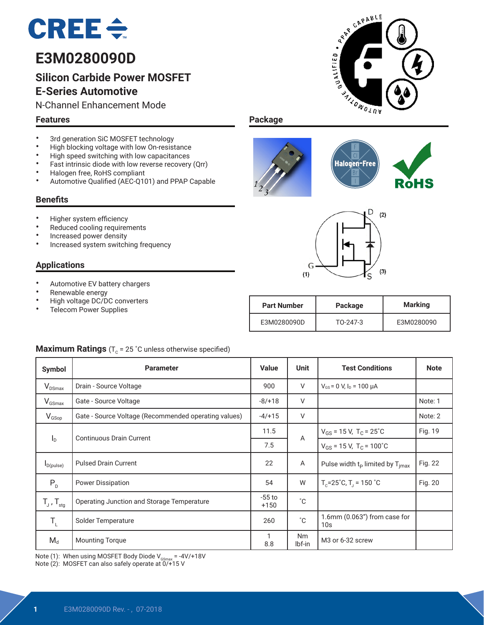

# **E3M0280090D**

# **Silicon Carbide Power MOSFET E-Series Automotive**

N-Channel Enhancement Mode

#### **Features**

- 3rd generation SiC MOSFET technology<br>• High blocking voltage with low On-resist
- High blocking voltage with low On-resistance<br>• High speed switching with low canacitances
- High speed switching with low capacitances<br>• Fast intrinsic diade with low reverse resevent
- Fast intrinsic diode with low reverse recovery (Qrr)
- Halogen free, RoHS compliant
- Automotive Qualified (AEC-Q101) and PPAP Capable

#### **Benefits**

- Higher system efficiency
- Reduced cooling requirements
- Increased power density
- Increased system switching frequency

#### **Applications**

- Automotive EV battery chargers
- Renewable energy<br>• High voltage DC/D
- High voltage DC/DC converters
- Telecom Power Supplies









**EXAMPLE** 

**SALLOWOLDN** 

OUALIFIED.

**I** 

**RDS(on)** 280 mΩ

| <b>Part Number</b> | Package  | <b>Marking</b> |  |  |
|--------------------|----------|----------------|--|--|
| E3M0280090D        | TO-247-3 | E3M0280090     |  |  |

## **Maximum Ratings** ( $T_c$  = 25 °C unless otherwise specified)

| Symbol                     | <b>Parameter</b>                                     |          | Unit                | <b>Test Conditions</b>                                  | <b>Note</b> |
|----------------------------|------------------------------------------------------|----------|---------------------|---------------------------------------------------------|-------------|
| $V_{DSmax}$                | Drain - Source Voltage                               | 900      | V                   | $V_{GS}$ = 0 V, $I_D$ = 100 $\mu$ A                     |             |
| $V_{GSmax}$                | Gate - Source Voltage                                | $-8/+18$ | V                   |                                                         | Note: 1     |
| $V_{GSop}$                 | Gate - Source Voltage (Recommended operating values) |          | V                   |                                                         | Note: 2     |
|                            | <b>Continuous Drain Current</b>                      | 11.5     | $\overline{A}$      | $V_{GS}$ = 15 V, T <sub>C</sub> = 25 <sup>°</sup> C     | Fig. 19     |
| $I_{\text{D}}$             |                                                      | 7.5      |                     | $V_{GS}$ = 15 V, T <sub>C</sub> = 100°C                 |             |
| $I_{D(pulse)}$             | <b>Pulsed Drain Current</b>                          |          | A                   | Pulse width $t_p$ limited by $T_{\text{imax}}$          | Fig. 22     |
| $P_{D}$                    | <b>Power Dissipation</b>                             |          | W                   | $T_c = 25^{\circ}$ C, T <sub>1</sub> = 150 $^{\circ}$ C | Fig. 20     |
| $T_{J}$ , $T_{\text{stg}}$ | Operating Junction and Storage Temperature           |          | $^{\circ}C$         |                                                         |             |
| $T_{L}$                    | Solder Temperature                                   |          | $^{\circ}C$         | $1.6$ mm (0.063") from case for<br>10 <sub>s</sub>      |             |
| $M_d$                      | <b>Mounting Torque</b>                               | 8.8      | <b>Nm</b><br>lbf-in | M <sub>3</sub> or 6-32 screw                            |             |

Note (1): When using MOSFET Body Diode  $V_{\text{GSmax}} = -4V/+18V$ 

Note (2): MOSFET can also safely operate at  $0/415$  V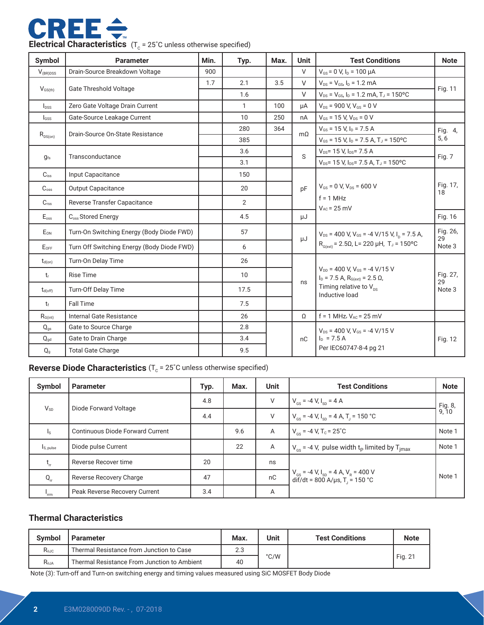

| Symbol               | <b>Parameter</b>                                            | Min. | Typ. | Max.          | <b>Unit</b>                            | <b>Test Conditions</b>                                                                 | <b>Note</b>              |  |
|----------------------|-------------------------------------------------------------|------|------|---------------|----------------------------------------|----------------------------------------------------------------------------------------|--------------------------|--|
| $V_{\text{(BR)DSS}}$ | Drain-Source Breakdown Voltage                              | 900  |      |               | $\vee$                                 | $V_{GS}$ = 0 V, $I_D$ = 100 µA                                                         |                          |  |
|                      |                                                             | 1.7  | 2.1  | 3.5           | $\vee$                                 | $V_{DS} = V_{GS} I_D = 1.2 mA$                                                         |                          |  |
| $V_{\text{GS(th)}}$  | <b>Gate Threshold Voltage</b>                               |      | 1.6  |               | V                                      | $V_{DS} = V_{GS}$ , $I_D = 1.2$ mA, $T_J = 150$ °C                                     | Fig. 11                  |  |
| $I_{DSS}$            | Zero Gate Voltage Drain Current                             |      | 1    | 100           | μA                                     | $V_{DS}$ = 900 V, $V_{GS}$ = 0 V                                                       |                          |  |
| $I_{GSS}$            | Gate-Source Leakage Current                                 |      | 10   | 250           | nA                                     | $V_{GS}$ = 15 V, $V_{DS}$ = 0 V                                                        |                          |  |
|                      | Drain-Source On-State Resistance                            |      | 280  | 364           | $m\Omega$                              | $V_{GS}$ = 15 V, $I_D$ = 7.5 A                                                         | Fig. 4,                  |  |
| $R_{\text{DS}(on)}$  |                                                             |      | 385  |               |                                        | $V_{GS}$ = 15 V, $I_D$ = 7.5 A, T <sub>J</sub> = 150°C                                 | 5, 6                     |  |
| $g_{fs}$             | Transconductance                                            |      | 3.6  |               | S                                      | $V_{DS}$ = 15 V, $I_{DS}$ = 7.5 A                                                      | Fig. 7                   |  |
|                      |                                                             |      | 3.1  |               |                                        | $V_{DS}$ = 15 V, $I_{DS}$ = 7.5 A, T <sub>J</sub> = 150°C                              |                          |  |
| $C_{iss}$            | Input Capacitance                                           |      | 150  |               |                                        |                                                                                        |                          |  |
| $C_{\rm oss}$        | <b>Output Capacitance</b>                                   |      | 20   |               | pF                                     | $V_{GS}$ = 0 V, $V_{DS}$ = 600 V                                                       | Fig. 17,<br>18           |  |
| C <sub>rss</sub>     | Reverse Transfer Capacitance                                |      | 2    |               |                                        | $f = 1$ MHz<br>$V_{AC}$ = 25 mV                                                        |                          |  |
| $E_{\rm oss}$        | C <sub>oss</sub> Stored Energy                              |      | 4.5  |               | μJ                                     |                                                                                        | Fig. 16                  |  |
| EON                  | Turn-On Switching Energy (Body Diode FWD)                   |      | 57   |               | μJ                                     | $V_{DS}$ = 400 V, V <sub>GS</sub> = -4 V/15 V, I <sub>n</sub> = 7.5 A,                 | Fig. 26,<br>29<br>Note 3 |  |
| $E_{OFF}$            | Turn Off Switching Energy (Body Diode FWD)                  |      | 6    |               |                                        | $R_{G(xt)}$ = 2.5Ω, L= 220 μH, T <sub>J</sub> = 150°C                                  |                          |  |
| $t_{d(on)}$          | Turn-On Delay Time                                          |      | 26   |               |                                        |                                                                                        | Fig. 27,<br>29<br>Note 3 |  |
| t.                   | <b>Rise Time</b>                                            |      | 10   |               |                                        | $V_{DD}$ = 400 V, $V_{GS}$ = -4 V/15 V<br>$I_D = 7.5$ A, $R_{G(ext)} = 2.5$ $\Omega$ , |                          |  |
| $t_{d(\text{off})}$  | Turn-Off Delay Time                                         |      | 17.5 |               | ns                                     | Timing relative to $V_{ns}$<br>Inductive load                                          |                          |  |
| $t_{\rm f}$          | <b>Fall Time</b>                                            |      | 7.5  |               |                                        |                                                                                        |                          |  |
| $R_{G(int)}$         | Internal Gate Resistance                                    |      | 26   |               | Ω                                      | $f = 1$ MHz, $V_{AC} = 25$ mV                                                          |                          |  |
| $Q_{qs}$             | 2.8<br>Gate to Source Charge<br>3.4<br>Gate to Drain Charge |      |      |               | $V_{DS}$ = 400 V, $V_{GS}$ = -4 V/15 V |                                                                                        |                          |  |
| $Q_{gd}$             |                                                             |      | nC   | $I_D = 7.5 A$ | Fig. 12                                |                                                                                        |                          |  |
| $Q_{g}$              | <b>Total Gate Charge</b>                                    |      | 9.5  |               |                                        | Per IEC60747-8-4 pg 21                                                                 |                          |  |

# **Reverse Diode Characteristics** (T<sub>c</sub> = 25°C unless otherwise specified)

| Symbol                | <b>Parameter</b>                 | Typ. | Max. | <b>Unit</b>    | <b>Test Conditions</b>                                                                                              | <b>Note</b> |
|-----------------------|----------------------------------|------|------|----------------|---------------------------------------------------------------------------------------------------------------------|-------------|
| $V_{SD}$              | Diode Forward Voltage            | 4.8  |      | V              | $V_{\text{cs}} = -4 V, I_{\text{sn}} = 4 A$                                                                         | Fig. 8,     |
|                       |                                  | 4.4  |      | V              | $V_{\text{cs}}$ = -4 V, I <sub>sp</sub> = 4 A, T <sub>1</sub> = 150 °C                                              | 9,10        |
| ls.                   | Continuous Diode Forward Current |      | 9.6  | $\overline{A}$ | $V_{\text{es}}$ = -4 V, T <sub>c</sub> = 25 <sup>°</sup> C                                                          | Note 1      |
| I <sub>S, pulse</sub> | Diode pulse Current              |      | 22   | $\overline{A}$ | $V_{\text{cs}}$ = -4 V, pulse width t <sub>p</sub> limited by T <sub>imax</sub>                                     | Note 1      |
| $t_{rr}$              | Reverse Recover time             | 20   |      | ns             |                                                                                                                     |             |
| $Q_{rr}$              | Reverse Recovery Charge          | 47   |      | nC             | $V_{\text{gs}}$ = -4 V, I <sub>SD</sub> = 4 A, V <sub>R</sub> = 400 V<br>dif/dt = 800 A/µs, T <sub>J</sub> = 150 °C | Note 1      |
| 'rrm                  | Peak Reverse Recovery Current    | 3.4  |      | Α              |                                                                                                                     |             |

#### **Thermal Characteristics**

| <b>Symbol</b> | <b>Parameter</b>                            | Max. | Unit          | <b>Test Conditions</b> | <b>Note</b> |
|---------------|---------------------------------------------|------|---------------|------------------------|-------------|
| $R_{0JC}$     | Thermal Resistance from Junction to Case    | 2.3  |               |                        |             |
| $R_{0,IA}$    | Thermal Resistance From Junction to Ambient | 40   | $\degree$ C/W |                        | Fig. 21     |

Note (3): Turn-off and Turn-on switching energy and timing values measured using SiC MOSFET Body Diode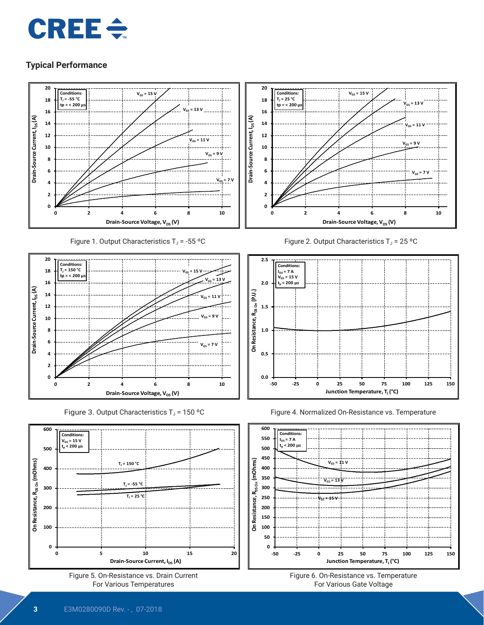# $CRE \div$

# **Typical Performance**



Figure 1. Output Characteristics  $T_J = -55$  °C



Figure 3. Output Characteristics  $T_J$  = 150 °C













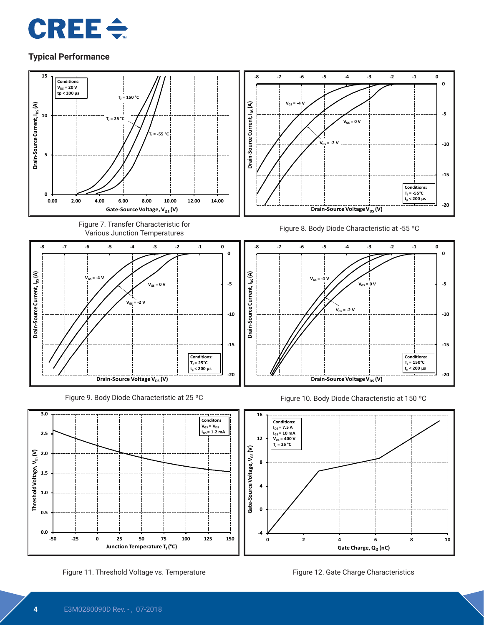



Figure 11. Threshold Voltage vs. Temperature Figure 12. Gate Charge Characteristics

**Junction Temperature T<sub>J</sub>** (°C)

Gate Charge, Q<sub>G</sub> (nC)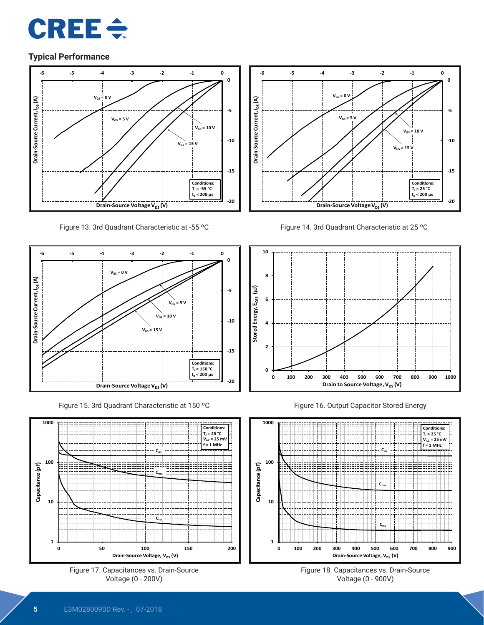



Figure 13. 3rd Quadrant Characteristic at -55 ºC



Figure 15. 3rd Quadrant Characteristic at 150 ºC







Figure 14. 3rd Quadrant Characteristic at 25 ºC



Figure 16. Output Capacitor Stored Energy



Figure 18. Capacitances vs. Drain-Source Voltage (0 - 900V)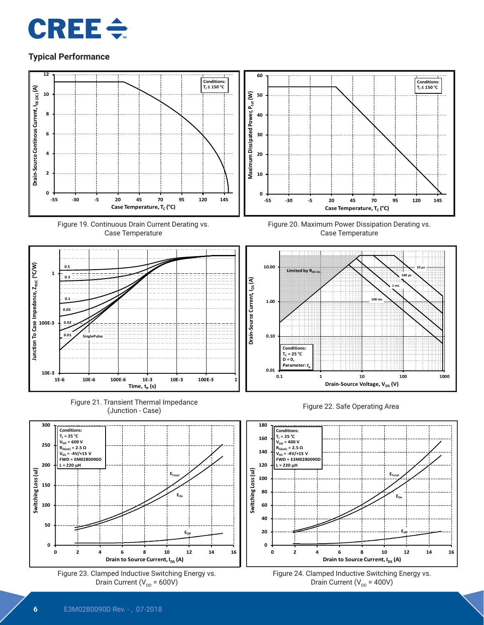















Figure 20. Maximum Power Dissipation Derating vs. Case Temperature







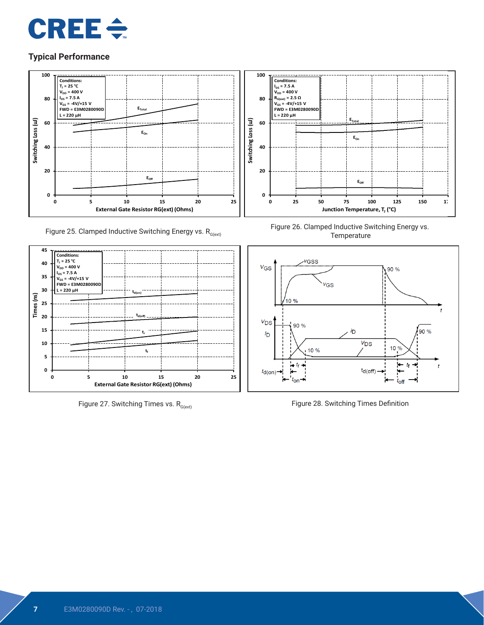



Figure 25. Clamped Inductive Switching Energy vs.  $R_{G(\text{ext})}$ 



Figure 27. Switching Times vs.  $R_{G(ext)}$ 



Figure 26. Clamped Inductive Switching Energy vs. **Temperature** 



Figure 28. Switching Times Definition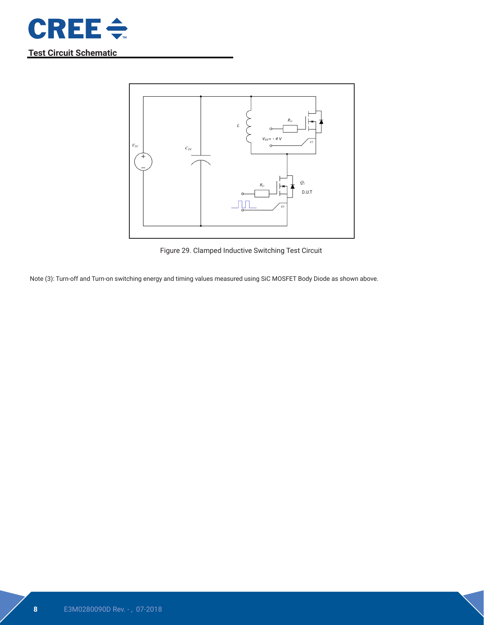



Figure 29. Clamped Inductive Switching Test Circuit

Note (3): Turn-off and Turn-on switching energy and timing values measured using SiC MOSFET Body Diode as shown above.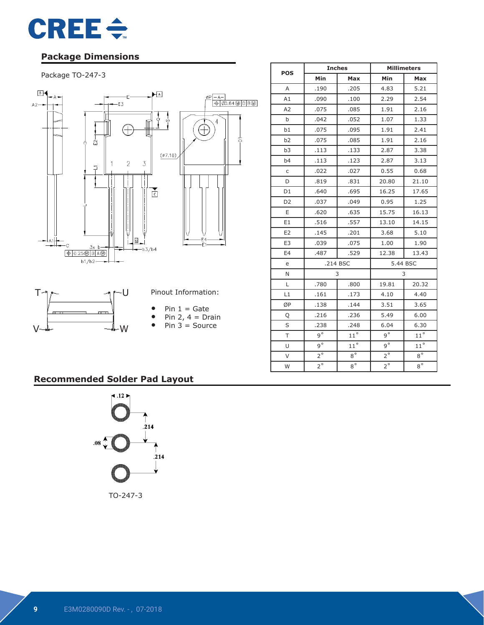

# **Package Dimensions**

#### Package TO-247-3



|                |             | <b>Inches</b> | <b>Millimeters</b> |              |  |
|----------------|-------------|---------------|--------------------|--------------|--|
| <b>POS</b>     | Min         | Max           | Min                | Max          |  |
| A              | .190        | .205          | 4.83               | 5.21         |  |
| A1             | .090        | .100          | 2.29               | 2.54         |  |
| A2             | .075        | .085          | 1.91               | 2.16         |  |
| b              | .042        | .052          | 1.07               | 1.33         |  |
| b1             | .075        | .095          | 1.91               | 2.41         |  |
| b2             | .075        | .085          | 1.91               | 2.16         |  |
| b3             | .113        | .133          | 2.87               | 3.38         |  |
| b4             | .113        | .123          | 2.87               | 3.13         |  |
| $\mathsf C$    | .022        | .027          | 0.55               | 0.68         |  |
| D              | .819        | .831          | 20.80              | 21.10        |  |
| D1             | .640        | .695          | 16.25              | 17.65        |  |
| D <sub>2</sub> | .037        | .049          | 0.95               | 1.25         |  |
| E              | .620        | .635          | 15.75              | 16.13        |  |
| E <sub>1</sub> | .516        | .557          | 13.10              | 14.15        |  |
| E <sub>2</sub> | .145        | .201          | 3.68               | 5.10         |  |
| E <sub>3</sub> | .039        | .075          | 1.00               | 1.90         |  |
| E <sub>4</sub> | .487        | .529          | 12.38              | 13.43        |  |
| e              |             | .214 BSC      | 5.44 BSC           |              |  |
| N              |             | 3             |                    | 3            |  |
| L              | .780        | .800          | 19.81              | 20.32        |  |
| L1             | .161        | .173          | 4.10               | 4.40         |  |
| ØΡ             | .138        | .144          | 3.51               | 3.65         |  |
| Q              | .216        | .236          | 5.49               | 6.00         |  |
| S              | .238        | .248          | 6.04               | 6.30         |  |
| T              | $9^\circ$   | $11^{\circ}$  | $9^\circ$          | $11^{\circ}$ |  |
| U              | $9^{\circ}$ | $11^{\circ}$  | $9^{\circ}$        | $11^{\circ}$ |  |
| $\vee$         | $2^{\circ}$ | $8^{\circ}$   | $2^{\circ}$        | $8^{\circ}$  |  |
| W              | $2^{\circ}$ | $8^{\circ}$   | $2^{\circ}$        | $8^{\circ}$  |  |

# **Recommended Solder Pad Layout**